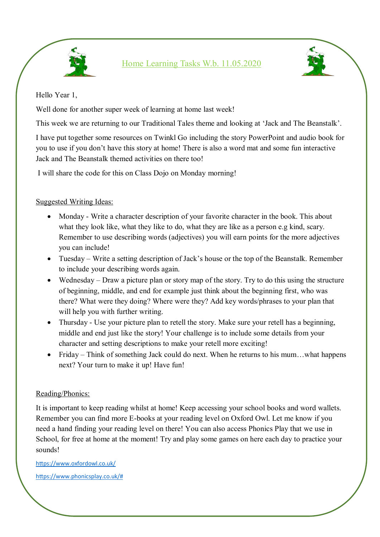

Home Learning Tasks W.b. 11.05.2020



Hello Year 1,

Well done for another super week of learning at home last week!

This week we are returning to our Traditional Tales theme and looking at 'Jack and The Beanstalk'.

I have put together some resources on Twinkl Go including the story PowerPoint and audio book for you to use if you don't have this story at home! There is also a word mat and some fun interactive Jack and The Beanstalk themed activities on there too!

I will share the code for this on Class Dojo on Monday morning!

## Suggested Writing Ideas:

- Monday Write a character description of your favorite character in the book. This about what they look like, what they like to do, what they are like as a person e.g kind, scary. Remember to use describing words (adjectives) you will earn points for the more adjectives you can include!
- Tuesday Write a setting description of Jack's house or the top of the Beanstalk. Remember to include your describing words again.
- Wednesday Draw a picture plan or story map of the story. Try to do this using the structure of beginning, middle, and end for example just think about the beginning first, who was there? What were they doing? Where were they? Add key words/phrases to your plan that will help you with further writing.
- Thursday Use your picture plan to retell the story. Make sure your retell has a beginning, middle and end just like the story! Your challenge is to include some details from your character and setting descriptions to make your retell more exciting!
- Friday Think of something Jack could do next. When he returns to his mum...what happens next? Your turn to make it up! Have fun!

## Reading/Phonics:

It is important to keep reading whilst at home! Keep accessing your school books and word wallets. Remember you can find more E-books at your reading level on Oxford Owl. Let me know if you need a hand finding your reading level on there! You can also access Phonics Play that we use in School, for free at home at the moment! Try and play some games on here each day to practice your sounds!

<https://www.oxfordowl.co.uk/> [https://www.phonicsplay.co.uk/#](https://www.phonicsplay.co.uk/)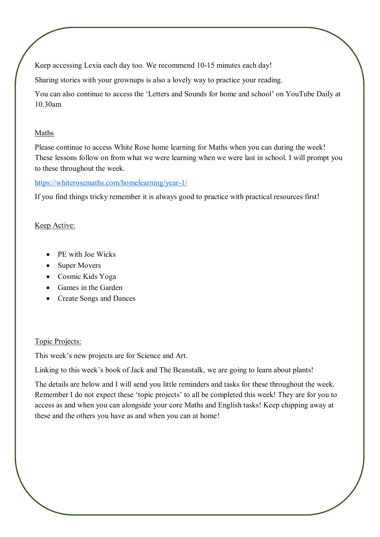Keep accessing Lexia each day too. We recommend 10-15 minutes each day!

Sharing stories with your grownups is also a lovely way to practice your reading.

You can also continue to access the 'Letters and Sounds for home and school' on YouTube Daily at 10.30am

#### Maths

Please continue to access White Rose home learning for Maths when you can during the week! These lessons follow on from what we were learning when we were last in school. I will prompt you to these throughout the week.

## <https://whiterosemaths.com/homelearning/year-1/>

If you find things tricky remember it is always good to practice with practical resources first!

## Keep Active:

- PE with Joe Wicks
- Super Movers
- Cosmic Kids Yoga
- Games in the Garden
- Create Songs and Dances

## Topic Projects:

This week's new projects are for Science and Art.

Linking to this week's book of Jack and The Beanstalk, we are going to learn about plants!

The details are below and I will send you little reminders and tasks for these throughout the week. Remember I do not expect these 'topic projects' to all be completed this week! They are for you to access as and when you can alongside your core Maths and English tasks! Keep chipping away at these and the others you have as and when you can at home!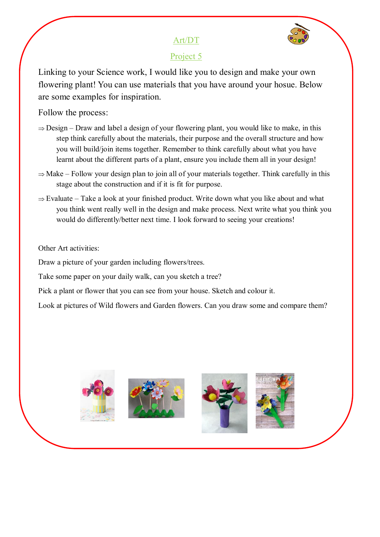# Art/DT



# Project 5

Linking to your Science work, I would like you to design and make your own flowering plant! You can use materials that you have around your hosue. Below are some examples for inspiration.

Follow the process:

- $\Rightarrow$  Design Draw and label a design of your flowering plant, you would like to make, in this step think carefully about the materials, their purpose and the overall structure and how you will build/join items together. Remember to think carefully about what you have learnt about the different parts of a plant, ensure you include them all in your design!
- $\Rightarrow$  Make Follow your design plan to join all of your materials together. Think carefully in this stage about the construction and if it is fit for purpose.
- $\Rightarrow$  Evaluate Take a look at your finished product. Write down what you like about and what you think went really well in the design and make process. Next write what you think you would do differently/better next time. I look forward to seeing your creations!

## Other Art activities:

Draw a picture of your garden including flowers/trees.

Take some paper on your daily walk, can you sketch a tree?

Pick a plant or flower that you can see from your house. Sketch and colour it.

Look at pictures of Wild flowers and Garden flowers. Can you draw some and compare them?